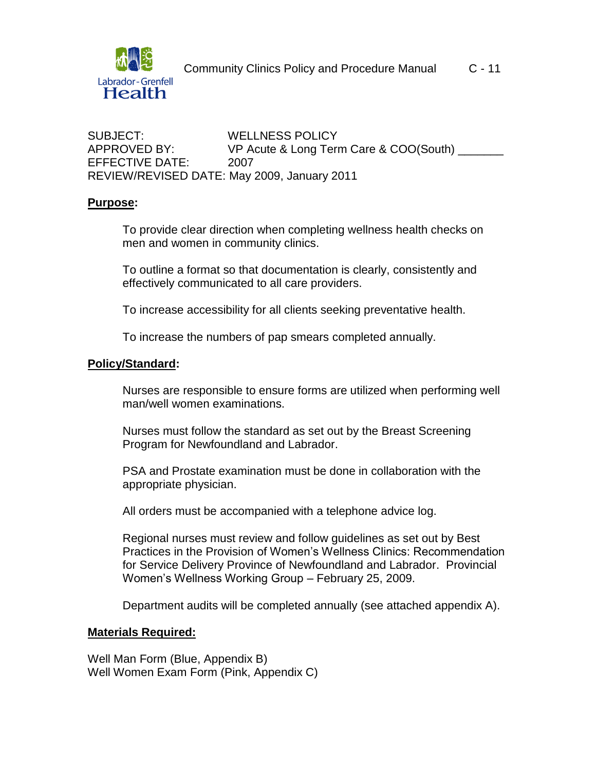

SUBJECT: WELLNESS POLICY APPROVED BY: VP Acute & Long Term Care & COO(South) \_\_\_\_\_\_\_ EFFECTIVE DATE: 2007 REVIEW/REVISED DATE: May 2009, January 2011

#### **Purpose:**

To provide clear direction when completing wellness health checks on men and women in community clinics.

To outline a format so that documentation is clearly, consistently and effectively communicated to all care providers.

To increase accessibility for all clients seeking preventative health.

To increase the numbers of pap smears completed annually.

### **Policy/Standard:**

Nurses are responsible to ensure forms are utilized when performing well man/well women examinations.

Nurses must follow the standard as set out by the Breast Screening Program for Newfoundland and Labrador.

PSA and Prostate examination must be done in collaboration with the appropriate physician.

All orders must be accompanied with a telephone advice log.

Regional nurses must review and follow guidelines as set out by Best Practices in the Provision of Women's Wellness Clinics: Recommendation for Service Delivery Province of Newfoundland and Labrador. Provincial Women's Wellness Working Group – February 25, 2009.

Department audits will be completed annually (see attached appendix A).

#### **Materials Required:**

Well Man Form (Blue, Appendix B) Well Women Exam Form (Pink, Appendix C)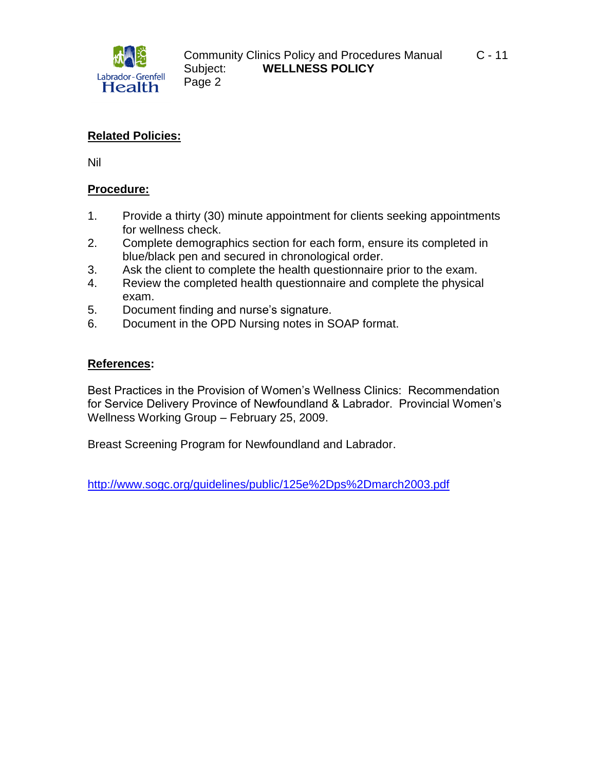

## **Related Policies:**

Nil

### **Procedure:**

- 1. Provide a thirty (30) minute appointment for clients seeking appointments for wellness check.
- 2. Complete demographics section for each form, ensure its completed in blue/black pen and secured in chronological order.
- 3. Ask the client to complete the health questionnaire prior to the exam.
- 4. Review the completed health questionnaire and complete the physical exam.
- 5. Document finding and nurse's signature.
- 6. Document in the OPD Nursing notes in SOAP format.

### **References:**

Best Practices in the Provision of Women's Wellness Clinics: Recommendation for Service Delivery Province of Newfoundland & Labrador. Provincial Women's Wellness Working Group – February 25, 2009.

Breast Screening Program for Newfoundland and Labrador.

[http://www.sogc.org/guidelines/public/125e%2Dps%2Dmarch2003.pdf](http://www.sogc.org/guidelines/public/125e-ps-march2003.pdf)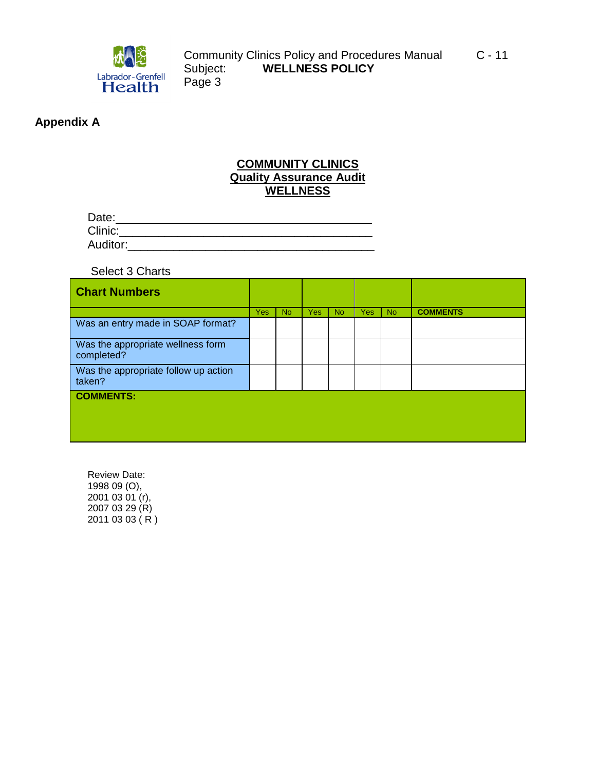

## **Appendix A**

## **COMMUNITY CLINICS Quality Assurance Audit WELLNESS**

| Date:    |  |  |  |
|----------|--|--|--|
| Clinic:  |  |  |  |
| Auditor: |  |  |  |

Select 3 Charts

| <b>Chart Numbers</b>                            |            |           |            |           |            |           |                 |
|-------------------------------------------------|------------|-----------|------------|-----------|------------|-----------|-----------------|
|                                                 | <b>Yes</b> | <b>No</b> | <b>Yes</b> | <b>No</b> | <b>Yes</b> | <b>No</b> | <b>COMMENTS</b> |
| Was an entry made in SOAP format?               |            |           |            |           |            |           |                 |
| Was the appropriate wellness form<br>completed? |            |           |            |           |            |           |                 |
| Was the appropriate follow up action<br>taken?  |            |           |            |           |            |           |                 |
| <b>COMMENTS:</b>                                |            |           |            |           |            |           |                 |

Review Date: 1998 09 (O), 2001 03 01 (r), 2007 03 29 (R)  $20110303(R)$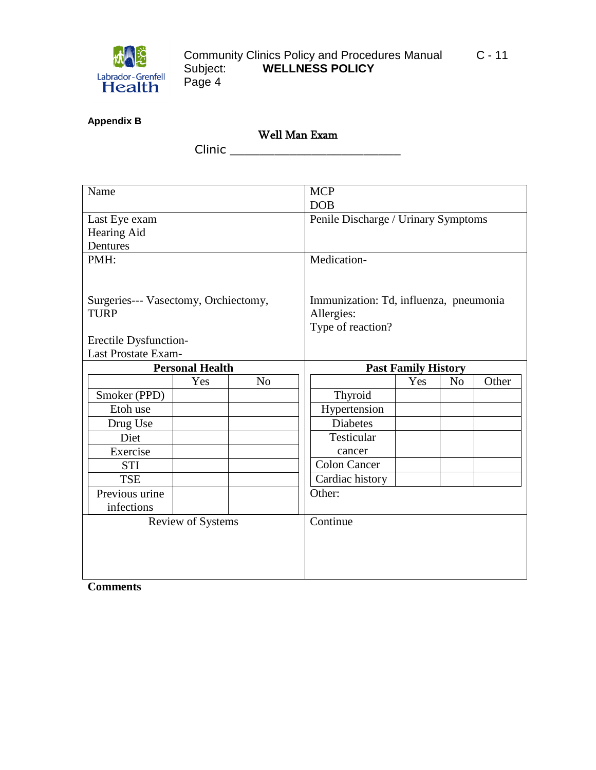

| <b>Appendix B</b> |  |
|-------------------|--|
|-------------------|--|

Well Man Exam

Clinic \_\_\_\_\_\_\_\_\_\_\_\_\_\_\_\_\_\_\_\_\_\_\_

| Name                                 |                          |                | <b>MCP</b>                 |                                        |                |       |  |
|--------------------------------------|--------------------------|----------------|----------------------------|----------------------------------------|----------------|-------|--|
|                                      |                          |                | <b>DOB</b>                 |                                        |                |       |  |
| Last Eye exam                        |                          |                |                            | Penile Discharge / Urinary Symptoms    |                |       |  |
| Hearing Aid                          |                          |                |                            |                                        |                |       |  |
| Dentures                             |                          |                |                            |                                        |                |       |  |
| PMH:                                 |                          |                | Medication-                |                                        |                |       |  |
|                                      |                          |                |                            |                                        |                |       |  |
|                                      |                          |                |                            |                                        |                |       |  |
| Surgeries--- Vasectomy, Orchiectomy, |                          |                |                            | Immunization: Td, influenza, pneumonia |                |       |  |
| <b>TURP</b>                          |                          |                | Allergies:                 |                                        |                |       |  |
|                                      |                          |                | Type of reaction?          |                                        |                |       |  |
| Erectile Dysfunction-                |                          |                |                            |                                        |                |       |  |
| <b>Last Prostate Exam-</b>           |                          |                |                            |                                        |                |       |  |
| <b>Personal Health</b>               |                          |                | <b>Past Family History</b> |                                        |                |       |  |
|                                      | Yes                      | N <sub>o</sub> |                            | Yes                                    | N <sub>o</sub> | Other |  |
| Smoker (PPD)                         |                          |                | Thyroid                    |                                        |                |       |  |
| Etoh use                             |                          |                | Hypertension               |                                        |                |       |  |
| Drug Use                             |                          |                | <b>Diabetes</b>            |                                        |                |       |  |
| Diet                                 |                          |                | Testicular                 |                                        |                |       |  |
| Exercise                             |                          |                | cancer                     |                                        |                |       |  |
| <b>STI</b>                           |                          |                | <b>Colon Cancer</b>        |                                        |                |       |  |
| <b>TSE</b>                           |                          |                | Cardiac history            |                                        |                |       |  |
| Previous urine                       |                          |                | Other:                     |                                        |                |       |  |
| infections                           |                          |                |                            |                                        |                |       |  |
|                                      | <b>Review of Systems</b> |                | Continue                   |                                        |                |       |  |
|                                      |                          |                |                            |                                        |                |       |  |
|                                      |                          |                |                            |                                        |                |       |  |
|                                      |                          |                |                            |                                        |                |       |  |
|                                      |                          |                |                            |                                        |                |       |  |
|                                      |                          |                |                            |                                        |                |       |  |

**Comments**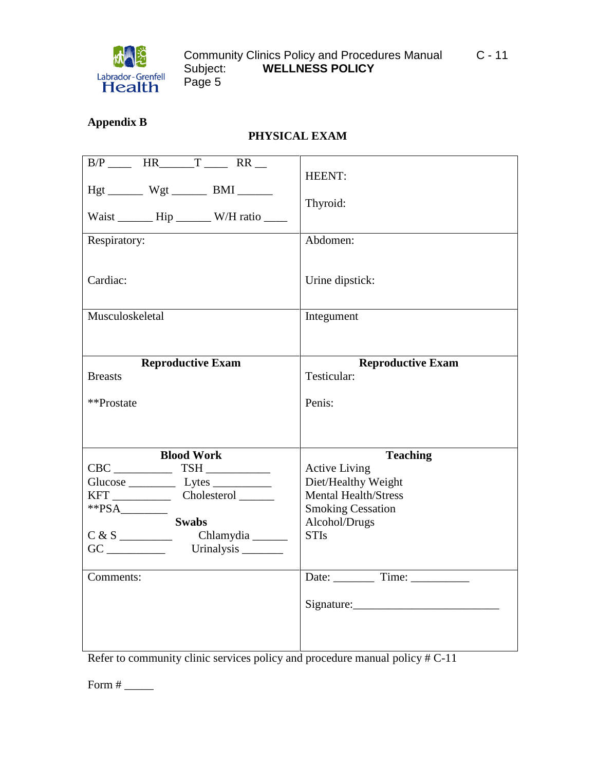

# **Appendix B**

# **PHYSICAL EXAM**

| $B/P$ HR $T$ RR<br>$Hgt$ ________ Wgt _________ BMI ________<br>Waist ________ Hip ________ W/H ratio _____<br>Respiratory:<br>Cardiac: | HEENT:<br>Thyroid:<br>Abdomen:<br>Urine dipstick:                                                                                                                        |
|-----------------------------------------------------------------------------------------------------------------------------------------|--------------------------------------------------------------------------------------------------------------------------------------------------------------------------|
| Musculoskeletal                                                                                                                         | Integument                                                                                                                                                               |
| <b>Reproductive Exam</b><br><b>Breasts</b><br>**Prostate                                                                                | <b>Reproductive Exam</b><br>Testicular:<br>Penis:                                                                                                                        |
| <b>Blood Work</b><br>$CBC$ $TSH$ $\_\_\_\_\_\_\_\_\_\_\_$<br>$*PSA$<br><b>Swabs</b><br>C & S<br>Chlamydia ______<br>Comments:           | <b>Teaching</b><br><b>Active Living</b><br>Diet/Healthy Weight<br><b>Mental Health/Stress</b><br><b>Smoking Cessation</b><br>Alcohol/Drugs<br><b>STIs</b><br>Date: Time: |

Refer to community clinic services policy and procedure manual policy # C-11

Form # \_\_\_\_\_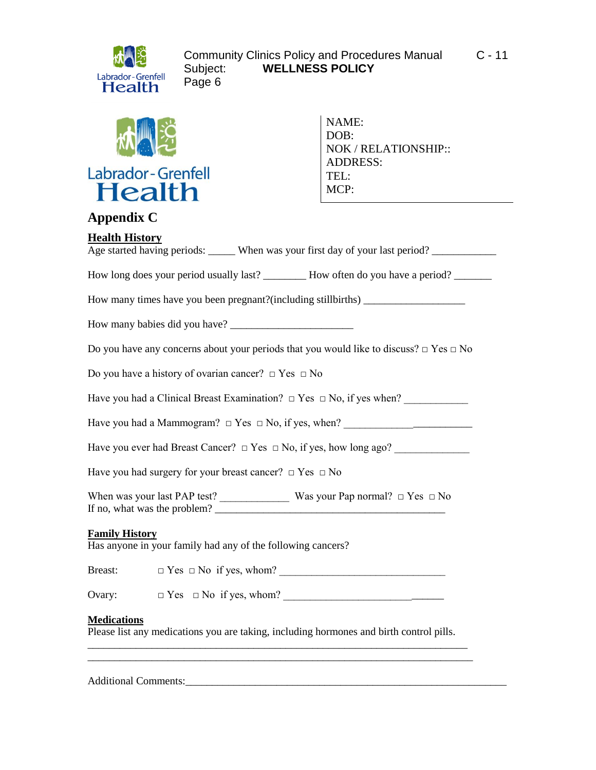